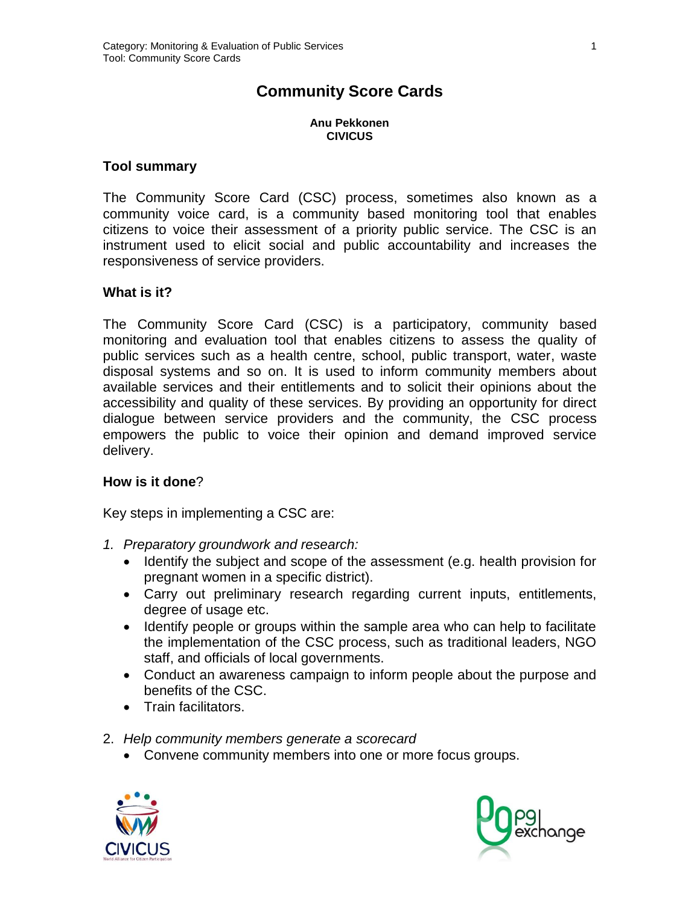# **Community Score Cards**

**Anu Pekkonen CIVICUS**

#### **Tool summary**

The Community Score Card (CSC) process, sometimes also known as a community voice card, is a community based monitoring tool that enables citizens to voice their assessment of a priority public service. The CSC is an instrument used to elicit social and public accountability and increases the responsiveness of service providers.

#### **What is it?**

The Community Score Card (CSC) is a participatory, community based monitoring and evaluation tool that enables citizens to assess the quality of public services such as a health centre, school, public transport, water, waste disposal systems and so on. It is used to inform community members about available services and their entitlements and to solicit their opinions about the accessibility and quality of these services. By providing an opportunity for direct dialogue between service providers and the community, the CSC process empowers the public to voice their opinion and demand improved service delivery.

#### **How is it done**?

Key steps in implementing a CSC are:

- *1. Preparatory groundwork and research:*
	- Identify the subject and scope of the assessment (e.g. health provision for pregnant women in a specific district).
	- Carry out preliminary research regarding current inputs, entitlements, degree of usage etc.
	- Identify people or groups within the sample area who can help to facilitate the implementation of the CSC process, such as traditional leaders, NGO staff, and officials of local governments.
	- Conduct an awareness campaign to inform people about the purpose and benefits of the CSC.
	- Train facilitators.
- 2. *Help community members generate a scorecard*
	- Convene community members into one or more focus groups.



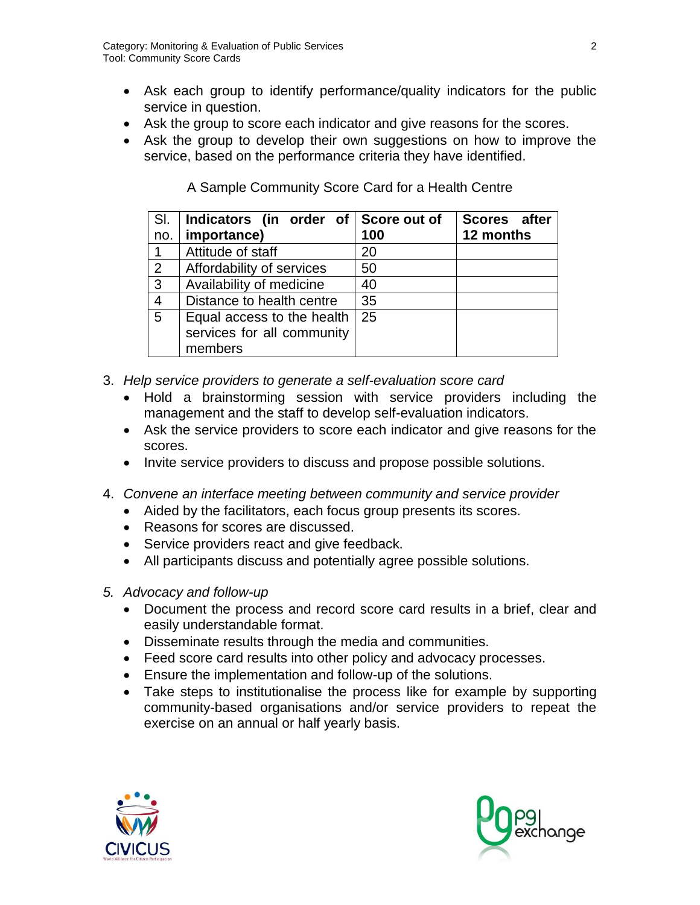- Ask each group to identify performance/quality indicators for the public service in question.
- Ask the group to score each indicator and give reasons for the scores.
- Ask the group to develop their own suggestions on how to improve the service, based on the performance criteria they have identified.

| SI.<br>no.     | Indicators (in order of Score out of<br>importance)      | 100 | Scores after<br>12 months |
|----------------|----------------------------------------------------------|-----|---------------------------|
|                | Attitude of staff                                        | 20  |                           |
| 2              | Affordability of services                                | 50  |                           |
| $\mathbf{3}$   | Availability of medicine                                 | 40  |                           |
| $\overline{4}$ | Distance to health centre                                | 35  |                           |
| 5              | Equal access to the health<br>services for all community | 25  |                           |
|                | members                                                  |     |                           |

A Sample Community Score Card for a Health Centre

- 3. *Help service providers to generate a self-evaluation score card*
	- Hold a brainstorming session with service providers including the management and the staff to develop self-evaluation indicators.
	- Ask the service providers to score each indicator and give reasons for the scores.
	- Invite service providers to discuss and propose possible solutions.
- 4. *Convene an interface meeting between community and service provider*
	- Aided by the facilitators, each focus group presents its scores.
	- Reasons for scores are discussed.
	- Service providers react and give feedback.
	- All participants discuss and potentially agree possible solutions.
- *5. Advocacy and follow-up*
	- Document the process and record score card results in a brief, clear and easily understandable format.
	- Disseminate results through the media and communities.
	- Feed score card results into other policy and advocacy processes.
	- Ensure the implementation and follow-up of the solutions.
	- Take steps to institutionalise the process like for example by supporting community-based organisations and/or service providers to repeat the exercise on an annual or half yearly basis.



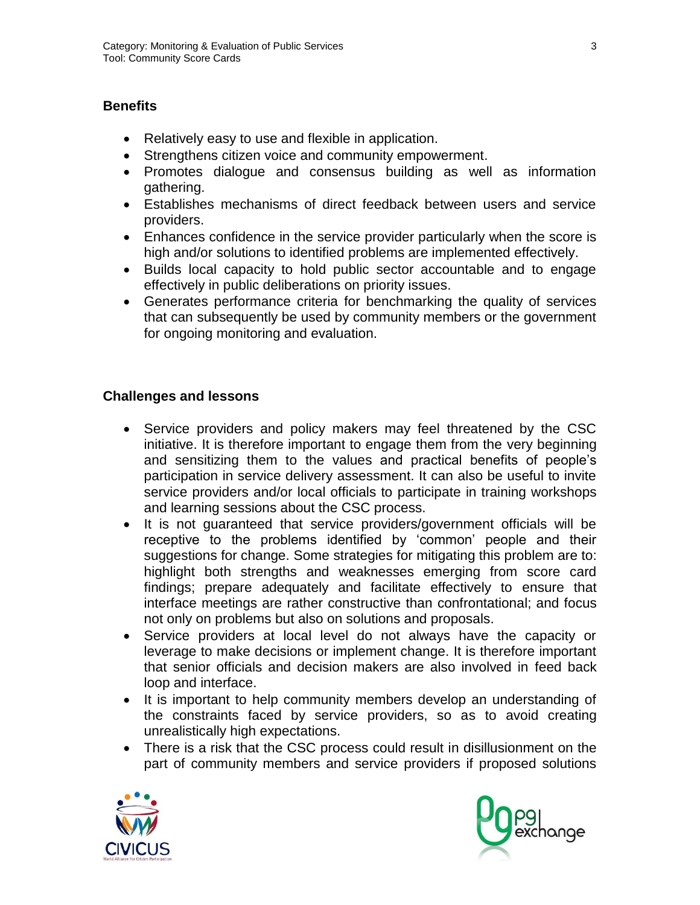## **Benefits**

- Relatively easy to use and flexible in application.
- Strengthens citizen voice and community empowerment.
- Promotes dialogue and consensus building as well as information gathering.
- Establishes mechanisms of direct feedback between users and service providers.
- Enhances confidence in the service provider particularly when the score is high and/or solutions to identified problems are implemented effectively.
- Builds local capacity to hold public sector accountable and to engage effectively in public deliberations on priority issues.
- Generates performance criteria for benchmarking the quality of services that can subsequently be used by community members or the government for ongoing monitoring and evaluation.

### **Challenges and lessons**

- Service providers and policy makers may feel threatened by the CSC initiative. It is therefore important to engage them from the very beginning and sensitizing them to the values and practical benefits of people's participation in service delivery assessment. It can also be useful to invite service providers and/or local officials to participate in training workshops and learning sessions about the CSC process.
- It is not quaranteed that service providers/government officials will be receptive to the problems identified by 'common' people and their suggestions for change. Some strategies for mitigating this problem are to: highlight both strengths and weaknesses emerging from score card findings; prepare adequately and facilitate effectively to ensure that interface meetings are rather constructive than confrontational; and focus not only on problems but also on solutions and proposals.
- Service providers at local level do not always have the capacity or leverage to make decisions or implement change. It is therefore important that senior officials and decision makers are also involved in feed back loop and interface.
- It is important to help community members develop an understanding of the constraints faced by service providers, so as to avoid creating unrealistically high expectations.
- There is a risk that the CSC process could result in disillusionment on the part of community members and service providers if proposed solutions



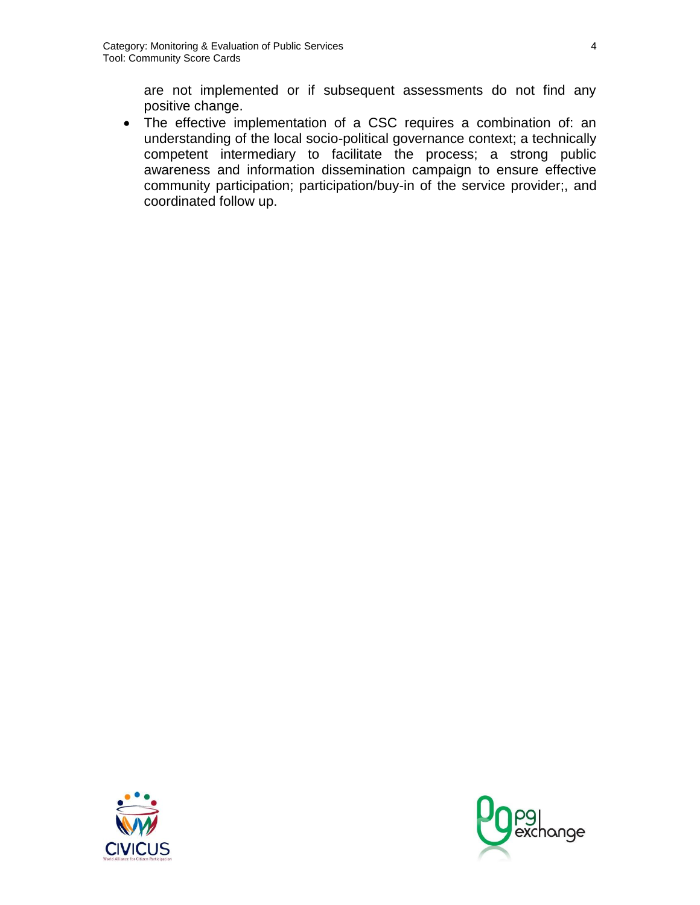are not implemented or if subsequent assessments do not find any positive change.

 The effective implementation of a CSC requires a combination of: an understanding of the local socio-political governance context; a technically competent intermediary to facilitate the process; a strong public awareness and information dissemination campaign to ensure effective community participation; participation/buy-in of the service provider;, and coordinated follow up.



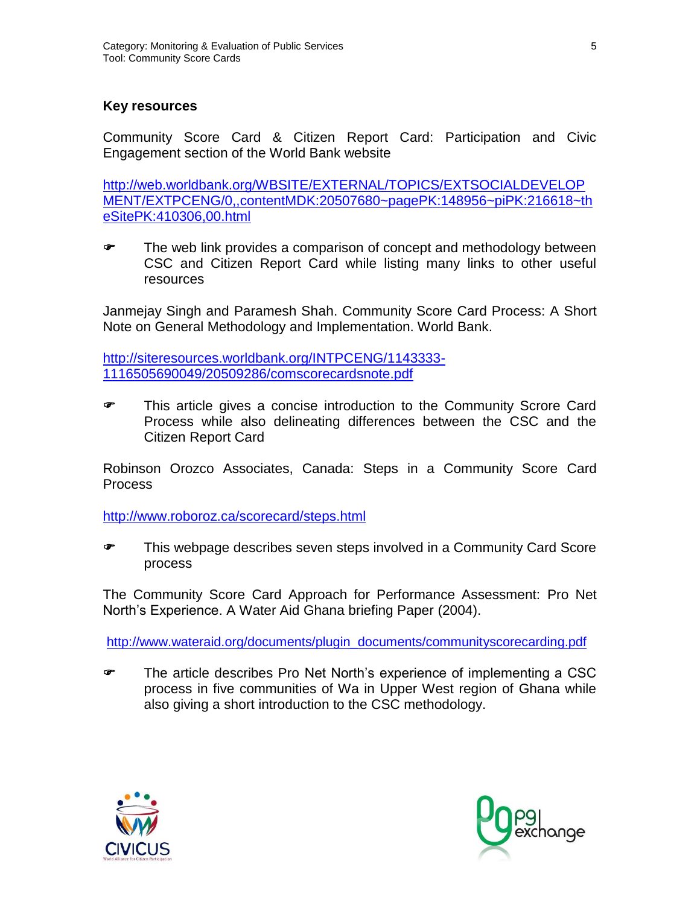### **Key resources**

Community Score Card & Citizen Report Card: Participation and Civic Engagement section of the World Bank website

http://web.worldbank.org/WBSITE/EXTERNAL/TOPICS/EXTSOCIALDEVELOP MENT/EXTPCENG/0,,contentMDK:20507680~pagePK:148956~piPK:216618~th eSitePK:410306,00.html

**The web link provides a comparison of concept and methodology between** CSC and Citizen Report Card while listing many links to other useful resources

Janmejay Singh and Paramesh Shah. Community Score Card Process: A Short Note on General Methodology and Implementation. World Bank.

[http://siteresources.worldbank.org/INTPCENG/1143333-](http://siteresources.worldbank.org/INTPCENG/1143333-1116505690049/20509286/comscorecardsnote.pdf) [1116505690049/20509286/comscorecardsnote.pdf](http://siteresources.worldbank.org/INTPCENG/1143333-1116505690049/20509286/comscorecardsnote.pdf)

 This article gives a concise introduction to the Community Scrore Card Process while also delineating differences between the CSC and the Citizen Report Card

Robinson Orozco Associates, Canada: Steps in a Community Score Card **Process** 

<http://www.roboroz.ca/scorecard/steps.html>

 This webpage describes seven steps involved in a Community Card Score process

The Community Score Card Approach for Performance Assessment: Pro Net North's Experience. A Water Aid Ghana briefing Paper (2004).

[http://www.wateraid.org/documents/plugin\\_documents/communityscorecarding.pdf](http://www.wateraid.org/documents/plugin_documents/communityscorecarding.pdf)

 The article describes Pro Net North's experience of implementing a CSC process in five communities of Wa in Upper West region of Ghana while also giving a short introduction to the CSC methodology.



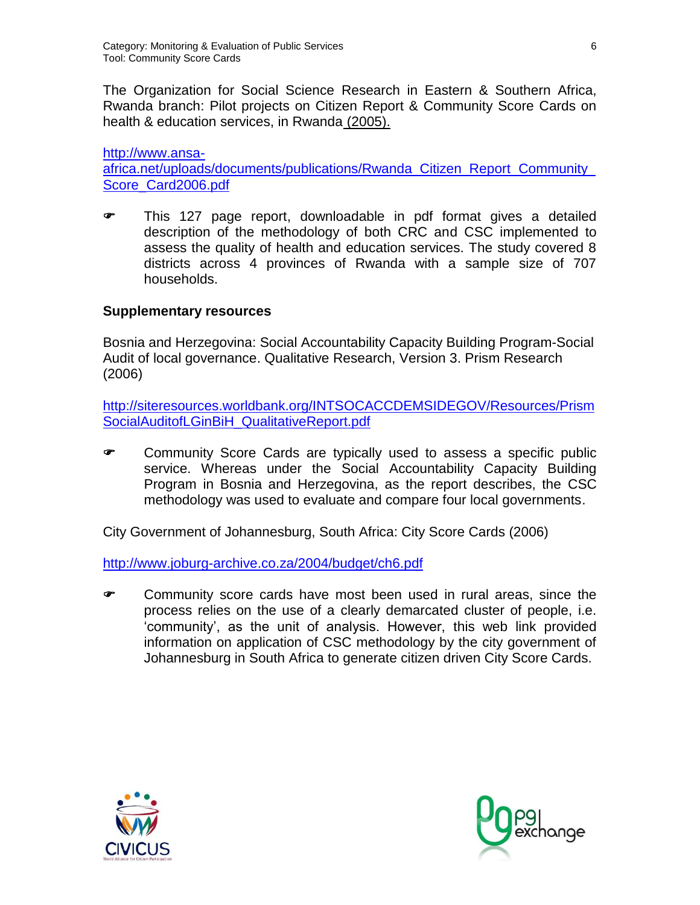The Organization for Social Science Research in Eastern & Southern Africa, Rwanda branch: Pilot projects on Citizen Report & Community Score Cards on health & education services, in Rwanda (2005).

[http://www.ansa](http://www.ansa-africa.net/uploads/documents/publications/Rwanda_Citizen_Report_Community_Score_Card2006.pdf)[africa.net/uploads/documents/publications/Rwanda\\_Citizen\\_Report\\_Community\\_](http://www.ansa-africa.net/uploads/documents/publications/Rwanda_Citizen_Report_Community_Score_Card2006.pdf) [Score\\_Card2006.pdf](http://www.ansa-africa.net/uploads/documents/publications/Rwanda_Citizen_Report_Community_Score_Card2006.pdf)

 This 127 page report, downloadable in pdf format gives a detailed description of the methodology of both CRC and CSC implemented to assess the quality of health and education services. The study covered 8 districts across 4 provinces of Rwanda with a sample size of 707 households.

### **Supplementary resources**

Bosnia and Herzegovina: Social Accountability Capacity Building Program-Social Audit of local governance. Qualitative Research, Version 3. Prism Research (2006)

[http://siteresources.worldbank.org/INTSOCACCDEMSIDEGOV/Resources/Prism](http://siteresources.worldbank.org/INTSOCACCDEMSIDEGOV/Resources/Prism_SocialAuditofLGinBiH_QualitativeReport.pdf) [SocialAuditofLGinBiH\\_QualitativeReport.pdf](http://siteresources.worldbank.org/INTSOCACCDEMSIDEGOV/Resources/Prism_SocialAuditofLGinBiH_QualitativeReport.pdf)

**EXED:** Community Score Cards are typically used to assess a specific public service. Whereas under the Social Accountability Capacity Building Program in Bosnia and Herzegovina, as the report describes, the CSC methodology was used to evaluate and compare four local governments.

City Government of Johannesburg, South Africa: City Score Cards (2006)

<http://www.joburg-archive.co.za/2004/budget/ch6.pdf>

 Community score cards have most been used in rural areas, since the process relies on the use of a clearly demarcated cluster of people, i.e. 'community', as the unit of analysis. However, this web link provided information on application of CSC methodology by the city government of Johannesburg in South Africa to generate citizen driven City Score Cards.



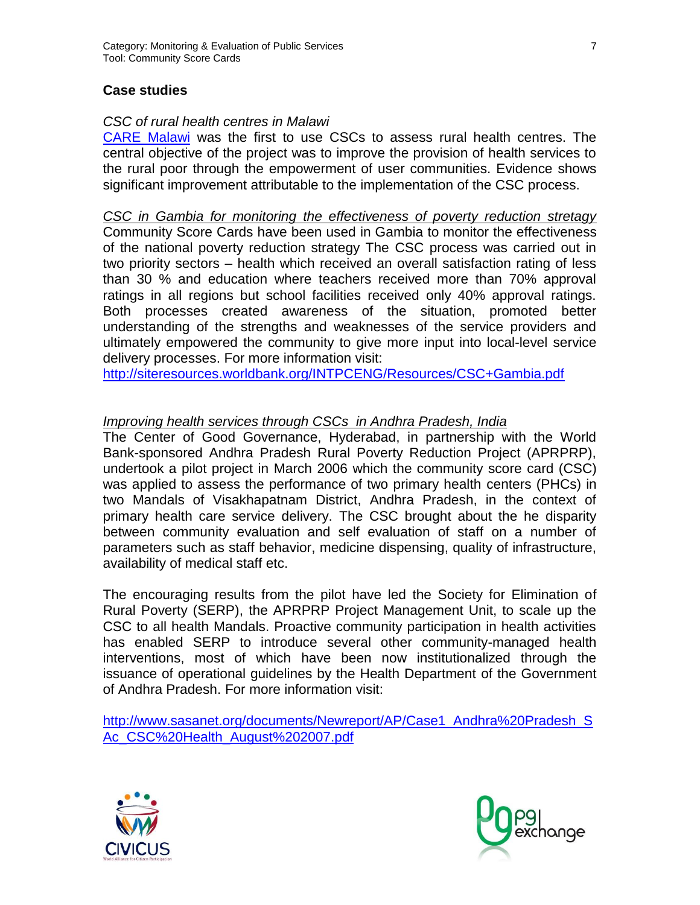### **Case studies**

#### *CSC of rural health centres in Malawi*

[CARE Malawi](http://pqdl.care.org/pv_obj_cache/pv_obj_id_6BC6F7A91037B12141EC87C038894738523D0400) was the first to use CSCs to assess rural health centres. The central objective of the project was to improve the provision of health services to the rural poor through the empowerment of user communities. Evidence shows significant improvement attributable to the implementation of the CSC process.

*CSC in Gambia for monitoring the effectiveness of poverty reduction stretagy* Community Score Cards have been used in Gambia to monitor the effectiveness of the national poverty reduction strategy The CSC process was carried out in two priority sectors – health which received an overall satisfaction rating of less than 30 % and education where teachers received more than 70% approval ratings in all regions but school facilities received only 40% approval ratings. Both processes created awareness of the situation, promoted better understanding of the strengths and weaknesses of the service providers and ultimately empowered the community to give more input into local-level service delivery processes. For more information visit:

<http://siteresources.worldbank.org/INTPCENG/Resources/CSC+Gambia.pdf>

### *Improving health services through CSCs in Andhra Pradesh, India*

The Center of Good Governance, Hyderabad, in partnership with the World Bank-sponsored Andhra Pradesh Rural Poverty Reduction Project (APRPRP), undertook a pilot project in March 2006 which the community score card (CSC) was applied to assess the performance of two primary health centers (PHCs) in two Mandals of Visakhapatnam District, Andhra Pradesh, in the context of primary health care service delivery. The CSC brought about the he disparity between community evaluation and self evaluation of staff on a number of parameters such as staff behavior, medicine dispensing, quality of infrastructure, availability of medical staff etc.

The encouraging results from the pilot have led the Society for Elimination of Rural Poverty (SERP), the APRPRP Project Management Unit, to scale up the CSC to all health Mandals. Proactive community participation in health activities has enabled SERP to introduce several other community-managed health interventions, most of which have been now institutionalized through the issuance of operational guidelines by the Health Department of the Government of Andhra Pradesh. For more information visit:

[http://www.sasanet.org/documents/Newreport/AP/Case1\\_Andhra%20Pradesh\\_S](http://www.sasanet.org/documents/Newreport/AP/Case1_Andhra%20Pradesh_SAc_CSC%20Health_August%202007.pdf) [Ac\\_CSC%20Health\\_August%202007.pdf](http://www.sasanet.org/documents/Newreport/AP/Case1_Andhra%20Pradesh_SAc_CSC%20Health_August%202007.pdf)